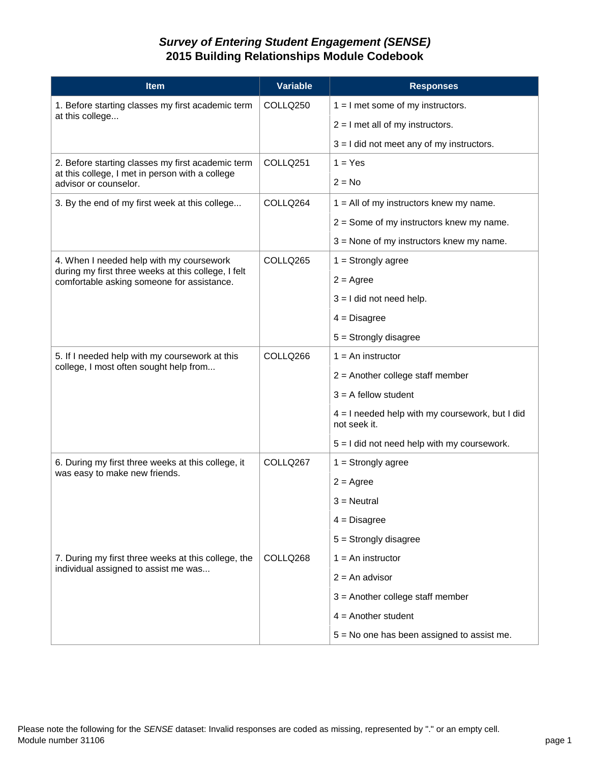## *Survey of Entering Student Engagement (SENSE)* **2015 Building Relationships Module Codebook**

| <b>Item</b>                                                                                                                                   | <b>Variable</b>      | <b>Responses</b>                                                  |
|-----------------------------------------------------------------------------------------------------------------------------------------------|----------------------|-------------------------------------------------------------------|
| 1. Before starting classes my first academic term<br>at this college                                                                          | COLLQ250             | $1 = 1$ met some of my instructors.                               |
|                                                                                                                                               |                      | $2 = I$ met all of my instructors.                                |
|                                                                                                                                               |                      | $3 = 1$ did not meet any of my instructors.                       |
| 2. Before starting classes my first academic term<br>at this college, I met in person with a college<br>advisor or counselor.                 | COLLQ <sub>251</sub> | $1 = Yes$                                                         |
|                                                                                                                                               |                      | $2 = No$                                                          |
| 3. By the end of my first week at this college                                                                                                | COLLQ264             | $1 =$ All of my instructors knew my name.                         |
|                                                                                                                                               |                      | $2 =$ Some of my instructors knew my name.                        |
|                                                                                                                                               |                      | $3$ = None of my instructors knew my name.                        |
| 4. When I needed help with my coursework<br>during my first three weeks at this college, I felt<br>comfortable asking someone for assistance. | COLLQ265             | $1 =$ Strongly agree                                              |
|                                                                                                                                               |                      | $2 = \text{Agree}$                                                |
|                                                                                                                                               |                      | $3 = 1$ did not need help.                                        |
|                                                                                                                                               |                      | $4 = Disagree$                                                    |
|                                                                                                                                               |                      | $5 =$ Strongly disagree                                           |
| 5. If I needed help with my coursework at this<br>college, I most often sought help from                                                      | COLLQ266             | $1 = An$ instructor                                               |
|                                                                                                                                               |                      | $2$ = Another college staff member                                |
|                                                                                                                                               |                      | $3 = A$ fellow student                                            |
|                                                                                                                                               |                      | $4 = 1$ needed help with my coursework, but I did<br>not seek it. |
|                                                                                                                                               |                      | $5 = 1$ did not need help with my coursework.                     |
| 6. During my first three weeks at this college, it<br>was easy to make new friends.                                                           | COLLQ267             | $1 =$ Strongly agree                                              |
|                                                                                                                                               |                      | $2 = \text{Agree}$                                                |
|                                                                                                                                               |                      | 3 = Neutral                                                       |
|                                                                                                                                               |                      | $4 = Disagree$                                                    |
|                                                                                                                                               |                      | $5 =$ Strongly disagree                                           |
| 7. During my first three weeks at this college, the<br>individual assigned to assist me was                                                   | COLLQ268             | $1 = An$ instructor                                               |
|                                                                                                                                               |                      | $2 = An$ advisor                                                  |
|                                                                                                                                               |                      | $3$ = Another college staff member                                |
|                                                                                                                                               |                      | $4 =$ Another student                                             |
|                                                                                                                                               |                      | $5 = No$ one has been assigned to assist me.                      |